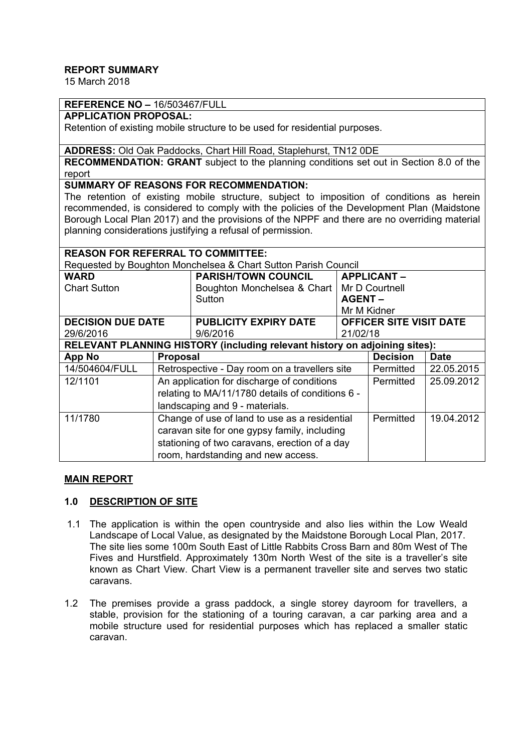# **REPORT SUMMARY**

15 March 2018

# **REFERENCE NO –** 16/503467/FULL

# **APPLICATION PROPOSAL:**

Retention of existing mobile structure to be used for residential purposes.

### **ADDRESS:** Old Oak Paddocks, Chart Hill Road, Staplehurst, TN12 0DE

**RECOMMENDATION: GRANT** subject to the planning conditions set out in Section 8.0 of the report

### **SUMMARY OF REASONS FOR RECOMMENDATION:**

The retention of existing mobile structure, subject to imposition of conditions as herein recommended, is considered to comply with the policies of the Development Plan (Maidstone Borough Local Plan 2017) and the provisions of the NPPF and there are no overriding material planning considerations justifying a refusal of permission.

### **REASON FOR REFERRAL TO COMMITTEE:**

Requested by Boughton Monchelsea & Chart Sutton Parish Council

| <b>WARD</b>                                                                |                                                  | <b>PARISH/TOWN COUNCIL</b>   |                                | <b>APPLICANT-</b> |             |
|----------------------------------------------------------------------------|--------------------------------------------------|------------------------------|--------------------------------|-------------------|-------------|
| <b>Chart Sutton</b>                                                        |                                                  | Boughton Monchelsea & Chart  | Mr D Courtnell                 |                   |             |
|                                                                            |                                                  | Sutton                       | <b>AGENT-</b>                  |                   |             |
|                                                                            |                                                  |                              | Mr M Kidner                    |                   |             |
| <b>DECISION DUE DATE</b>                                                   |                                                  | <b>PUBLICITY EXPIRY DATE</b> | <b>OFFICER SITE VISIT DATE</b> |                   |             |
| 29/6/2016                                                                  |                                                  | 9/6/2016                     | 21/02/18                       |                   |             |
| RELEVANT PLANNING HISTORY (including relevant history on adjoining sites): |                                                  |                              |                                |                   |             |
| <b>App No</b>                                                              | <b>Proposal</b>                                  |                              |                                | <b>Decision</b>   | <b>Date</b> |
| 14/504604/FULL                                                             | Retrospective - Day room on a travellers site    |                              |                                | Permitted         | 22.05.2015  |
| 12/1101                                                                    | An application for discharge of conditions       |                              |                                | Permitted         | 25.09.2012  |
|                                                                            | relating to MA/11/1780 details of conditions 6 - |                              |                                |                   |             |
|                                                                            | landscaping and 9 - materials.                   |                              |                                |                   |             |
| 11/1780                                                                    | Change of use of land to use as a residential    |                              |                                | Permitted         | 19.04.2012  |
|                                                                            | caravan site for one gypsy family, including     |                              |                                |                   |             |
|                                                                            | stationing of two caravans, erection of a day    |                              |                                |                   |             |
|                                                                            | room, hardstanding and new access.               |                              |                                |                   |             |

#### **MAIN REPORT**

### **1.0 DESCRIPTION OF SITE**

- 1.1 The application is within the open countryside and also lies within the Low Weald Landscape of Local Value, as designated by the Maidstone Borough Local Plan, 2017. The site lies some 100m South East of Little Rabbits Cross Barn and 80m West of The Fives and Hurstfield. Approximately 130m North West of the site is a traveller's site known as Chart View. Chart View is a permanent traveller site and serves two static caravans.
- 1.2 The premises provide a grass paddock, a single storey dayroom for travellers, a stable, provision for the stationing of a touring caravan, a car parking area and a mobile structure used for residential purposes which has replaced a smaller static caravan.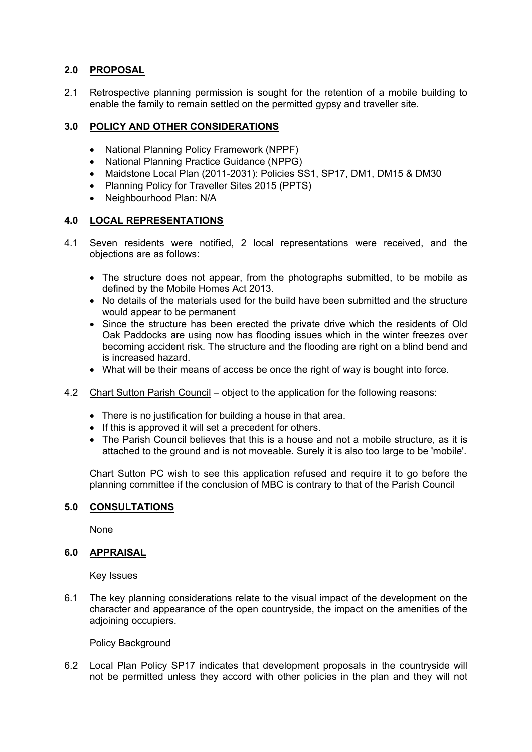# **2.0 PROPOSAL**

2.1 Retrospective planning permission is sought for the retention of a mobile building to enable the family to remain settled on the permitted gypsy and traveller site.

# **3.0 POLICY AND OTHER CONSIDERATIONS**

- National Planning Policy Framework (NPPF)
- National Planning Practice Guidance (NPPG)
- Maidstone Local Plan (2011-2031): Policies SS1, SP17, DM1, DM15 & DM30
- Planning Policy for Traveller Sites 2015 (PPTS)
- Neighbourhood Plan: N/A

### **4.0 LOCAL REPRESENTATIONS**

- 4.1 Seven residents were notified, 2 local representations were received, and the objections are as follows:
	- The structure does not appear, from the photographs submitted, to be mobile as defined by the Mobile Homes Act 2013.
	- No details of the materials used for the build have been submitted and the structure would appear to be permanent
	- Since the structure has been erected the private drive which the residents of Old Oak Paddocks are using now has flooding issues which in the winter freezes over becoming accident risk. The structure and the flooding are right on a blind bend and is increased hazard.
	- What will be their means of access be once the right of way is bought into force.
- 4.2 Chart Sutton Parish Council object to the application for the following reasons:
	- There is no justification for building a house in that area.
	- If this is approved it will set a precedent for others.
	- The Parish Council believes that this is a house and not a mobile structure, as it is attached to the ground and is not moveable. Surely it is also too large to be 'mobile'.

Chart Sutton PC wish to see this application refused and require it to go before the planning committee if the conclusion of MBC is contrary to that of the Parish Council

### **5.0 CONSULTATIONS**

None

### **6.0 APPRAISAL**

Key Issues

6.1 The key planning considerations relate to the visual impact of the development on the character and appearance of the open countryside, the impact on the amenities of the adjoining occupiers.

#### Policy Background

6.2 Local Plan Policy SP17 indicates that development proposals in the countryside will not be permitted unless they accord with other policies in the plan and they will not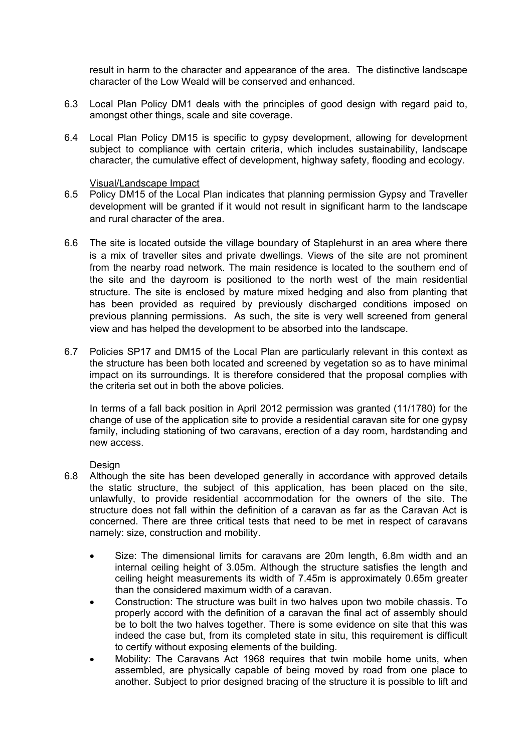result in harm to the character and appearance of the area. The distinctive landscape character of the Low Weald will be conserved and enhanced.

- 6.3 Local Plan Policy DM1 deals with the principles of good design with regard paid to, amongst other things, scale and site coverage.
- 6.4 Local Plan Policy DM15 is specific to gypsy development, allowing for development subject to compliance with certain criteria, which includes sustainability, landscape character, the cumulative effect of development, highway safety, flooding and ecology.

#### Visual/Landscape Impact

- 6.5 Policy DM15 of the Local Plan indicates that planning permission Gypsy and Traveller development will be granted if it would not result in significant harm to the landscape and rural character of the area.
- 6.6 The site is located outside the village boundary of Staplehurst in an area where there is a mix of traveller sites and private dwellings. Views of the site are not prominent from the nearby road network. The main residence is located to the southern end of the site and the dayroom is positioned to the north west of the main residential structure. The site is enclosed by mature mixed hedging and also from planting that has been provided as required by previously discharged conditions imposed on previous planning permissions. As such, the site is very well screened from general view and has helped the development to be absorbed into the landscape.
- 6.7 Policies SP17 and DM15 of the Local Plan are particularly relevant in this context as the structure has been both located and screened by vegetation so as to have minimal impact on its surroundings. It is therefore considered that the proposal complies with the criteria set out in both the above policies.

In terms of a fall back position in April 2012 permission was granted (11/1780) for the change of use of the application site to provide a residential caravan site for one gypsy family, including stationing of two caravans, erection of a day room, hardstanding and new access.

### **Design**

- 6.8 Although the site has been developed generally in accordance with approved details the static structure, the subject of this application, has been placed on the site, unlawfully, to provide residential accommodation for the owners of the site. The structure does not fall within the definition of a caravan as far as the Caravan Act is concerned. There are three critical tests that need to be met in respect of caravans namely: size, construction and mobility.
	- Size: The dimensional limits for caravans are 20m length, 6.8m width and an internal ceiling height of 3.05m. Although the structure satisfies the length and ceiling height measurements its width of 7.45m is approximately 0.65m greater than the considered maximum width of a caravan.
	- Construction: The structure was built in two halves upon two mobile chassis. To properly accord with the definition of a caravan the final act of assembly should be to bolt the two halves together. There is some evidence on site that this was indeed the case but, from its completed state in situ, this requirement is difficult to certify without exposing elements of the building.
	- Mobility: The Caravans Act 1968 requires that twin mobile home units, when assembled, are physically capable of being moved by road from one place to another. Subject to prior designed bracing of the structure it is possible to lift and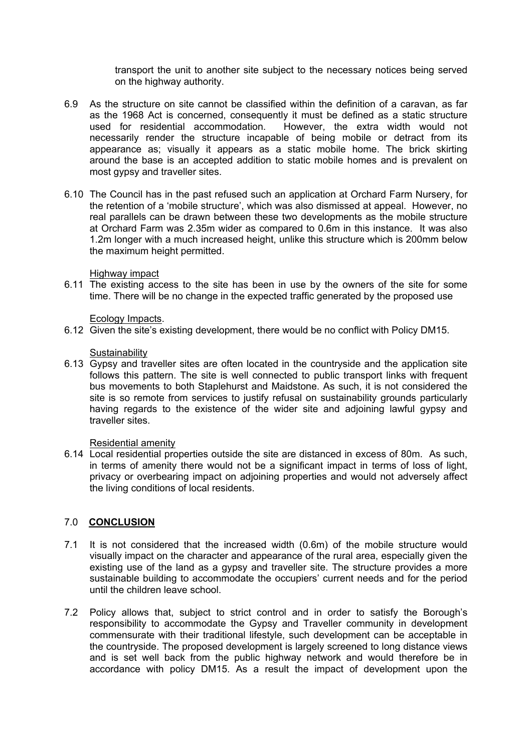transport the unit to another site subject to the necessary notices being served on the highway authority.

- 6.9 As the structure on site cannot be classified within the definition of a caravan, as far as the 1968 Act is concerned, consequently it must be defined as a static structure used for residential accommodation. However, the extra width would not necessarily render the structure incapable of being mobile or detract from its appearance as; visually it appears as a static mobile home. The brick skirting around the base is an accepted addition to static mobile homes and is prevalent on most gypsy and traveller sites.
- 6.10 The Council has in the past refused such an application at Orchard Farm Nursery, for the retention of a 'mobile structure', which was also dismissed at appeal. However, no real parallels can be drawn between these two developments as the mobile structure at Orchard Farm was 2.35m wider as compared to 0.6m in this instance. It was also 1.2m longer with a much increased height, unlike this structure which is 200mm below the maximum height permitted.

### Highway impact

6.11 The existing access to the site has been in use by the owners of the site for some time. There will be no change in the expected traffic generated by the proposed use

### Ecology Impacts.

6.12 Given the site's existing development, there would be no conflict with Policy DM15.

#### **Sustainability**

6.13 Gypsy and traveller sites are often located in the countryside and the application site follows this pattern. The site is well connected to public transport links with frequent bus movements to both Staplehurst and Maidstone. As such, it is not considered the site is so remote from services to justify refusal on sustainability grounds particularly having regards to the existence of the wider site and adjoining lawful gypsy and traveller sites.

#### Residential amenity

6.14 Local residential properties outside the site are distanced in excess of 80m. As such, in terms of amenity there would not be a significant impact in terms of loss of light, privacy or overbearing impact on adjoining properties and would not adversely affect the living conditions of local residents.

# 7.0 **CONCLUSION**

- 7.1 It is not considered that the increased width (0.6m) of the mobile structure would visually impact on the character and appearance of the rural area, especially given the existing use of the land as a gypsy and traveller site. The structure provides a more sustainable building to accommodate the occupiers' current needs and for the period until the children leave school.
- 7.2 Policy allows that, subject to strict control and in order to satisfy the Borough's responsibility to accommodate the Gypsy and Traveller community in development commensurate with their traditional lifestyle, such development can be acceptable in the countryside. The proposed development is largely screened to long distance views and is set well back from the public highway network and would therefore be in accordance with policy DM15. As a result the impact of development upon the